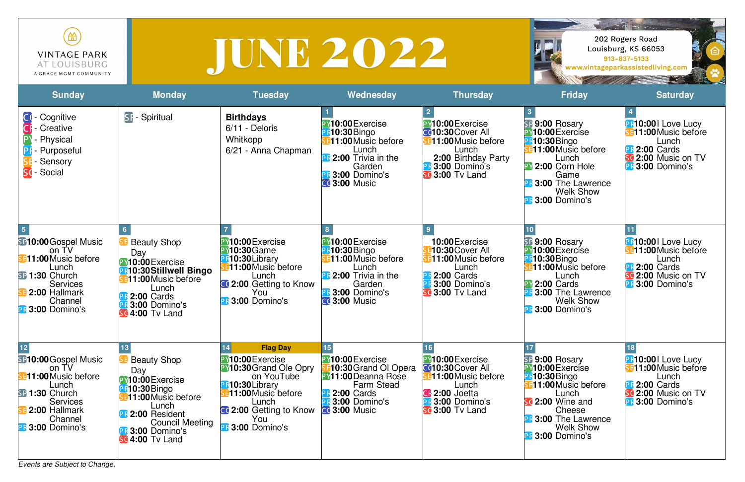*Events are Subject to Change.*

| ₩<br><b>VINTAGE PARK</b><br>AT LOUISBURG<br>A GRACE MGMT COMMUNITY    |                     |                                                |                                                            |                                                                            | $\mathcal{L} = \mathcal{L} \left( \left\  \mathbf{L} \mathbf{e} \cdot \mathbf{e} \right\  \mathbf{e}^{-\frac{1}{2} \mathbf{e}} \right)$<br>202 Rogers Road<br>Louisburg, KS 66053<br>913-837-5133<br>www.vintageparkassistedliving.com |                                                                |
|-----------------------------------------------------------------------|---------------------|------------------------------------------------|------------------------------------------------------------|----------------------------------------------------------------------------|----------------------------------------------------------------------------------------------------------------------------------------------------------------------------------------------------------------------------------------|----------------------------------------------------------------|
| <b>Sunday</b>                                                         | <b>Monday</b>       | <b>Tuesday</b>                                 | Wednesday                                                  | <b>Thursday</b>                                                            | <b>Friday</b>                                                                                                                                                                                                                          | <b>Saturday</b>                                                |
| C <sup></sup> - Cognitive<br><b>CI</b> - Creative<br>- Physical<br>P١ | <b>SF-Spiritual</b> | <b>Birthdays</b><br>6/11 - Deloris<br>Whitkopp | 10:00 Exercise<br><b>10:30</b> Bingo<br>11:00 Music before | PY10:00 Exercise<br><b>CC10:30 Cover All</b><br><b>311:00 Music before</b> | SP 9:00 Rosary<br>10:00 Exercise<br><b>R10:30</b> Bingo                                                                                                                                                                                | <b>R10:001 Love Luc</b><br><b>311:00 Music beform</b><br>Lunch |

| - Cognitive<br>- Creative<br>СH<br>- Physical<br>- Purposeful<br>- Sensory<br>SC-Social                                                                                          | <b>SF-Spiritual</b>                                                                                                                                                                                                    | <b>Birthdays</b><br>6/11 - Deloris<br>Whitkopp<br>6/21 - Anna Chapman                                                                                                                                                 | <b>PY10:00</b> Exercise<br><b>B-10:30</b> Bingo<br><b>B11:00</b> Music before<br>Lunch<br><b>PF</b> 2:00 Trivia in the<br>Garden<br><b>PR 3:00 Domino's</b><br>$C0$ 3:00 Music | <b>PY10:00</b> Exercise<br><b>C010:30 Cover All</b><br><b>311:00 Music before</b><br>Lunch<br>2:00 Birthday Party<br><b>PR 3:00 Domino's</b><br><b>SC 3:00 Tv Land</b> | SP 9:00 Rosary<br>PY10:00 Exercise<br><b>B10:30</b> Bingo<br><b>E11:00 Music before</b><br>Lunch<br>PY 2:00 Corn Hole<br>Game<br><b>PR 3:00 The Lawrence</b><br><b>Welk Show</b><br><b>PR 3:00 Domino's</b>                  | PR<br>JE1<br><b>HOOH</b> |
|----------------------------------------------------------------------------------------------------------------------------------------------------------------------------------|------------------------------------------------------------------------------------------------------------------------------------------------------------------------------------------------------------------------|-----------------------------------------------------------------------------------------------------------------------------------------------------------------------------------------------------------------------|--------------------------------------------------------------------------------------------------------------------------------------------------------------------------------|------------------------------------------------------------------------------------------------------------------------------------------------------------------------|------------------------------------------------------------------------------------------------------------------------------------------------------------------------------------------------------------------------------|--------------------------|
| <b>SP10:00 Gospel Music</b><br>on TV<br><b>B11:00 Music before</b><br>Lunch<br>SP 1:30 Church<br><b>Services</b><br><b>E</b> 2:00 Hallmark<br>Channel<br><b>PR 3:00 Domino's</b> | <b>Beauty Shop</b><br>Day<br>PV10:00 Exercise<br><b>PF10:30Stillwell Bingo</b><br><b>311:00 Music before</b><br>Lunch<br><b>PR 2:00 Cards</b><br><b>PR 3:00 Domino's</b><br>4:00 Tv Land                               | PY10:00 Exercise<br><b>PY10:30</b> Game<br><b>PF10:30Library</b><br><b>E11:00</b> Music before<br>Lunch<br><b>CC 2:00</b> Getting to Know<br>You<br><b>PR 3:00 Domino's</b>                                           | PY10:00 Exercise<br><b>PR10:30</b> Bingo<br><b>311:00 Music before</b><br>Lunch<br><b>PR</b> 2:00 Trivia in the<br>Garden<br><b>PR 3:00 Domino's</b><br>$C0$ 3:00 Music        | 10:00 Exercise<br>10:30 Cover All<br>11:00 Music before<br>Lunch<br><b>2:00 Cards</b><br><b>3:00 Domino's</b><br><b>SC 3:00</b> Tv Land                                | SP 9:00 Rosary<br><b>M10:00</b> Exercise<br><b>B10:30</b> Bingo<br><b>E11:00 Music before</b><br>Lunch<br><b>2:00 Cards</b><br><b>PR 3:00 The Lawrence</b><br><b>Welk Show</b><br><b>PR 3:00 Domino's</b>                    |                          |
| SP10:00 Gospel Music<br>on TV<br><b>11:00 Music before</b><br>Lunch<br>SP 1:30 Church<br><b>Services</b><br>2:00 Hallmark<br>Channel<br><b>PR 3:00 Domino's</b>                  | <b>Beauty Shop</b><br>Day<br>PY10:00 Exercise<br><b>PR10:30</b> Bingo<br><b>311:00 Music before</b><br>Lunch<br><b>PF 2:00 Resident</b><br><b>Council Meeting</b><br><b>PF 3:00 Domino's</b><br><b>sc 4:00 Tv Land</b> | <b>Flag Day</b><br>14<br>PY10:00 Exercise<br><b>PY10:30</b> Grand Ole Opry<br>on YouTube<br><b>PR10:30Library</b><br><b>B11:00</b> Music before<br>Lunch<br>CC 2:00 Getting to Know<br>You<br><b>PR 3:00 Domino's</b> | <b>PV10:00</b> Exercise<br>10:30 Grand OI Opera<br><b>PY11:00 Deanna Rose</b><br><b>Farm Stead</b><br><b>PR 2:00 Cards</b><br><b>B</b> 3:00 Domino's<br>$C0$ 3:00 Music        | PY10:00 Exercise<br>Cd10:30 Cover All<br><b>E11:00</b> Music before<br>Lunch<br><b>CF 2:00 Joetta</b><br><b>PR 3:00 Domino's</b><br><b>sc 3:00 Tv Land</b>             | SP 9:00 Rosary<br><b>M10:00</b> Exercise<br><b>B10:30</b> Bingo<br><b>E11:00</b> Music before<br>Lunch<br>sc <sub>2:00</sub> Wine and<br>Cheese<br><b>PR3:00 The Lawrence</b><br><b>Welk Show</b><br><b>PR 3:00 Domino's</b> | 18<br>PR<br>SC<br>PR     |